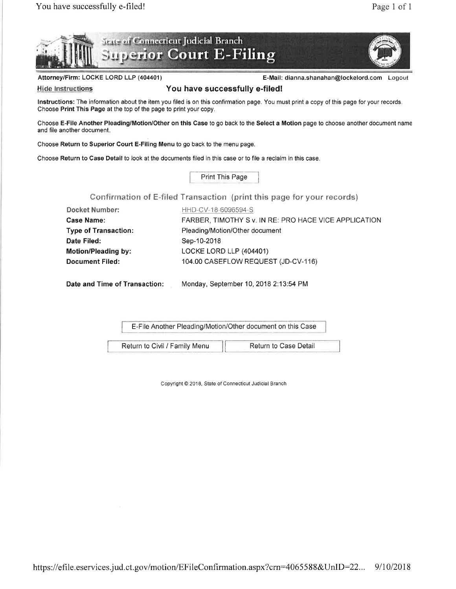



Attorney/Firm: LOCKE LORD LLP (404401) entitled and the mail: dianna.shanahan@lockelord.com Logout

## Hide Instructions **Side Contract Structions** You have successfully e-filed!

Instructions: The information about the item you filed is on this confirmation page. You must print a copy of this page for your records. Choose Print This Page at the top of the page to print your copy.

Choose E-File Another Pleading/Motion/Other on this Case to go back to the Select a Motion page to choose another document name and file another document.

Choose Return to Superior Court E-Filing Menu to go back to the menu page.

Choose Return to Case Detail to look at the documents filed in this case or to file a reclaim in this case.

Print This Page

Confirmation of E-filed Transaction (print this page for your records)

| <b>Docket Number:</b>       | HHD-CV-18-6096594-S                                   |
|-----------------------------|-------------------------------------------------------|
| <b>Case Name:</b>           | FARBER, TIMOTHY S v. IN RE: PRO HACE VICE APPLICATION |
| <b>Type of Transaction:</b> | Pleading/Motion/Other document                        |
| Date Filed:                 | Sep-10-2018                                           |
| <b>Motion/Pleading by:</b>  | LOCKE LORD LLP (404401)                               |
| <b>Document Filed:</b>      | 104.00 CASEFLOW REQUEST (JD-CV-116)                   |
|                             |                                                       |

Date and Time of Transaction: Monday, September 10, 2018 2:13:54 PM

E-File Another Pleading/Motion/Other document on this Case

Return to Civil / Family Menu | Return to Case Detail

Copyright @ 2018, State of Connecticut Judicial Branch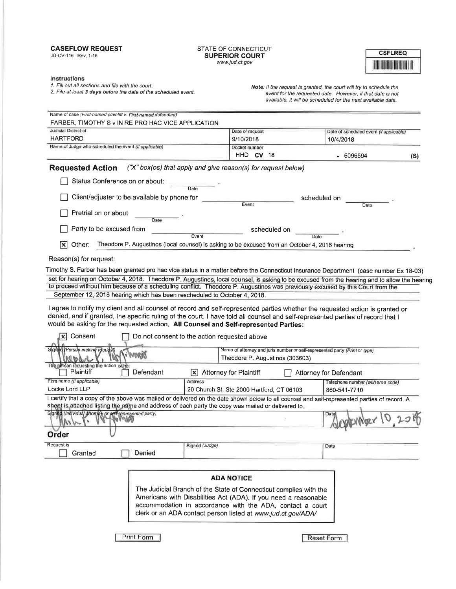### CASEFLOW REQUEST

JD-CV-116 Rev.1-16

#### STATE OF CONNECTICUT SUPERIOR COURT www.jud.ct.gov

| CSFLREO                  |  |
|--------------------------|--|
| <b>THE REAL PROPERTY</b> |  |

#### lnstructions

1. Fill out all sections and file with the court.

2. File at least **3 days** before the date of the scheduled event.

Note: lf the request is granted, the couti will try to schedule the event for the requested date. However, if that date is not available, it will be scheduled for the next available date.

|                                                                                                                                              | FARBER, TIMOTHY S v IN RE PRO HAC VICE APPLICATION                                                                        |                                         |
|----------------------------------------------------------------------------------------------------------------------------------------------|---------------------------------------------------------------------------------------------------------------------------|-----------------------------------------|
| Judicial District of<br>HARTFORD                                                                                                             | Date of request                                                                                                           | Date of scheduled event (if applicable) |
| Name of Judge who scheduled the event (if applicable)                                                                                        | 9/10/2018<br>Docket number                                                                                                | 10/4/2018                               |
|                                                                                                                                              | $HHD$ CV 18                                                                                                               | - 6096594<br>(S)                        |
| <b>Requested Action</b>                                                                                                                      | ("X" box(es) that apply and give reason(s) for request below)                                                             |                                         |
| Status Conference on or about:                                                                                                               | Date                                                                                                                      |                                         |
| Client/adjuster to be available by phone for                                                                                                 | Event                                                                                                                     | scheduled on<br>Date                    |
| Pretrial on or about<br>Date                                                                                                                 |                                                                                                                           |                                         |
| Party to be excused from                                                                                                                     | scheduled on<br>Event                                                                                                     | Date                                    |
| Other:<br>[X                                                                                                                                 | Theodore P. Augustinos (local counsel) is asking to be excused from an October 4, 2018 hearing                            |                                         |
| Reason(s) for request:                                                                                                                       |                                                                                                                           |                                         |
| Timothy S. Farber has been granted pro hac vice status in a matter before the Connecticut Insurance Department (case number Ex 18-03)        |                                                                                                                           |                                         |
| set for hearing on October 4, 2018. Theodore P. Augustinos, local counsel, is asking to be excused from the hearing and to allow the hearing |                                                                                                                           |                                         |
| to proceed without him because of a scheduling conflict. Theodore P. Augustinos was previously excused by this Court from the                |                                                                                                                           |                                         |
| September 12, 2018 hearing which has been rescheduled to October 4, 2018.                                                                    |                                                                                                                           |                                         |
| I agree to notify my client and all counsel of record and self-represented parties whether the requested action is granted or                |                                                                                                                           |                                         |
| denied, and if granted, the specific ruling of the court. I have told all counsel and self-represented parties of record that I              |                                                                                                                           |                                         |
| would be asking for the requested action. All Counsel and Self-represented Parties:                                                          |                                                                                                                           |                                         |
| Consent<br>x                                                                                                                                 | Do not consent to the action requested above                                                                              |                                         |
| Signed (Person making request)                                                                                                               | Name of attorney and juris number or self-represented party (Print or type)                                               |                                         |
| <b>MANARY</b><br>NI ከለላ                                                                                                                      | Theodore P. Augustinos (303603)                                                                                           |                                         |
| The person requesting the action is the                                                                                                      |                                                                                                                           |                                         |
| Plaintiff<br>Defendant                                                                                                                       | <b>Attorney for Plaintiff</b><br>l×l                                                                                      | Attorney for Defendant                  |
| Firm name (If applicable)<br>Locke Lord LLP                                                                                                  | Address                                                                                                                   | Telephone number (with area code)       |
| I certify that a copy of the above was mailed or delivered on the date shown below to all counsel and self-represented parties of record. A  | 20 Church St. Ste 2000 Hartford, CT 06103                                                                                 | 860-541-7710                            |
| sheet is attached listing the name and address of each party the copy was mailed or delivered to.                                            |                                                                                                                           |                                         |
| Signad (Individual allomey or sell represented party)                                                                                        |                                                                                                                           | Date                                    |
|                                                                                                                                              |                                                                                                                           |                                         |
|                                                                                                                                              |                                                                                                                           |                                         |
|                                                                                                                                              |                                                                                                                           |                                         |
|                                                                                                                                              | Signed (Judge)                                                                                                            | Date                                    |
| Denied<br>Granted                                                                                                                            |                                                                                                                           |                                         |
|                                                                                                                                              |                                                                                                                           |                                         |
|                                                                                                                                              | <b>ADA NOTICE</b>                                                                                                         |                                         |
|                                                                                                                                              | The Judicial Branch of the State of Connecticut complies with the                                                         |                                         |
|                                                                                                                                              | Americans with Disabilities Act (ADA). If you need a reasonable                                                           |                                         |
|                                                                                                                                              | accommodation in accordance with the ADA, contact a court<br>clerk or an ADA contact person listed at www.jud.ct.gov/ADA/ |                                         |
|                                                                                                                                              |                                                                                                                           |                                         |
| Order<br>Request is<br>Print Form                                                                                                            |                                                                                                                           | Reset Form                              |